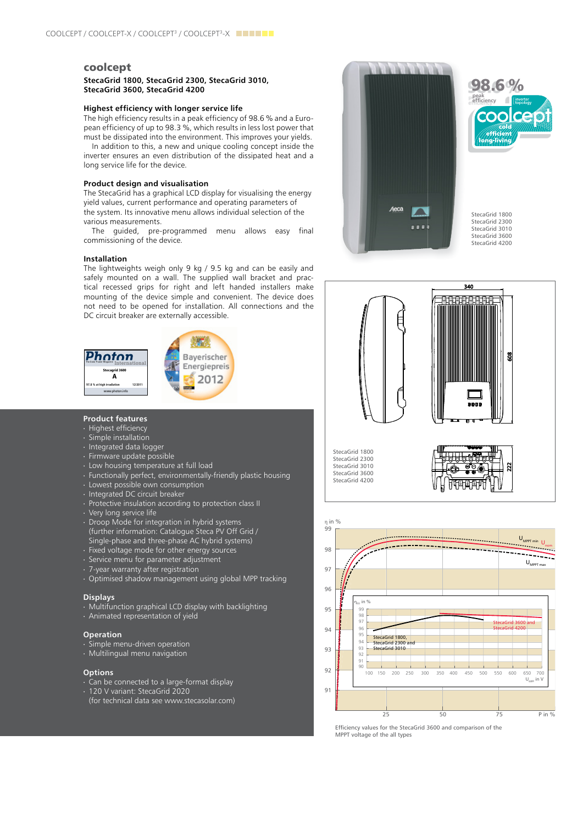### coolcept

#### **StecaGrid 1800, StecaGrid 2300, StecaGrid 3010, StecaGrid 3600, StecaGrid 4200**

#### **Highest efficiency with longer service life**

The high efficiency results in a peak efficiency of 98.6 % and a European efficiency of up to 98.3 %, which results in less lost power that must be dissipated into the environment. This improves your yields.

In addition to this, a new and unique cooling concept inside the inverter ensures an even distribution of the dissipated heat and a long service life for the device.

#### **Product design and visualisation**

various measurements. The StecaGrid has a graphical LCD display for visualising the energy yield values, current performance and operating parameters of the system. Its innovative menu allows individual selection of the

*ÜÉêÉÄó=ÅÉêíáÑáÉë=íÜ~í=íÜÉ=áåîÉêíÉê=* commissioning of the device. The guided, pre-programmed menu allows easy final

## **Installation**

 $\mathsf{S}$ *Åí*ë mounting of the device simple and convenient. The device does<br>not need to be enemed for installation. All connections and the DC circuit breaker are externally accessible. The lightweights weigh only 9 kg / 9.5 kg and can be easily and safely mounted on a wall. The supplied wall bracket and practical recessed grips for right and left handed installers make not need to be opened for installation. All connections and the



#### **Product features**

*^~ÅÜÉåI=dÉêã~åóI=aÉòÉãÄÉê=OMNN*

- ∙ Highest efficiency
- ∙ Simple installation
- ∙ Integrated data logger
- ∙ Firmware update possible
- ∙ Low housing temperature at full load
- ∙ Functionally perfect, environmentally-friendly plastic housing
- ∙ Lowest possible own consumption
- ∙ Integrated DC circuit breaker
- ↑ Protective insulation according to protection class II.12.2012 → Protection according to protection class II
	- ∙ Very long service life
	- ∙ Droop Mode for integration in hybrid systems (further information: Catalogue Steca PV Off Grid / Single-phase and three-phase AC hybrid systems)
	- ∙ Fixed voltage mode for other energy sources
	- ∙ Service menu for parameter adjustment
	- ∙ 7-year warranty after registration
	- ∙ Optimised shadow management using global MPP tracking

#### **Displays**

- ∙ Multifunction graphical LCD display with backlighting
- ∙ Animated representation of yield

#### **Operation**

- ∙ Simple menu-driven operation
- ∙ Multilingual menu navigation

#### **Options**

- ∙ Can be connected to a large-format display
- ∙ 120 V variant: StecaGrid 2020
- (for technical data see www.stecasolar.com)





StecaGrid 1800 StecaGrid 2300 StecaGrid 3010 StecaGrid 3600 StecaGrid 4200





Efficiency values for the StecaGrid 3600 and comparison of the MPPT voltage of the all types